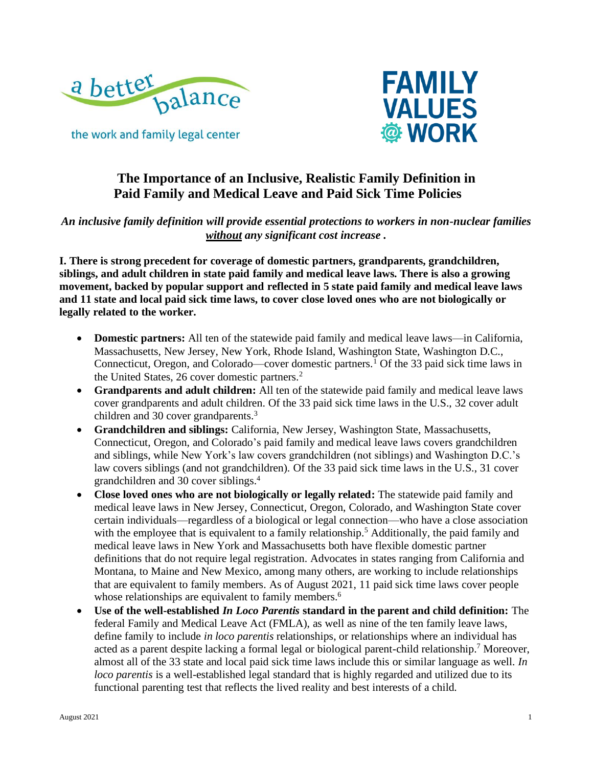



# **The Importance of an Inclusive, Realistic Family Definition in Paid Family and Medical Leave and Paid Sick Time Policies**

*An inclusive family definition will provide essential protections to workers in non-nuclear families without any significant cost increase .*

**I. There is strong precedent for coverage of domestic partners, grandparents, grandchildren, siblings, and adult children in state paid family and medical leave laws. There is also a growing movement, backed by popular support and reflected in 5 state paid family and medical leave laws and 11 state and local paid sick time laws, to cover close loved ones who are not biologically or legally related to the worker.** 

- **Domestic partners:** All ten of the statewide paid family and medical leave laws—in California, Massachusetts, New Jersey, New York, Rhode Island, Washington State, Washington D.C., Connecticut, Oregon, and Colorado—cover domestic partners.<sup>1</sup> Of the 33 paid sick time laws in the United States, 26 cover domestic partners.<sup>2</sup>
- **Grandparents and adult children:** All ten of the statewide paid family and medical leave laws cover grandparents and adult children. Of the 33 paid sick time laws in the U.S., 32 cover adult children and 30 cover grandparents.<sup>3</sup>
- **Grandchildren and siblings:** California, New Jersey, Washington State, Massachusetts, Connecticut, Oregon, and Colorado's paid family and medical leave laws covers grandchildren and siblings, while New York's law covers grandchildren (not siblings) and Washington D.C.'s law covers siblings (and not grandchildren). Of the 33 paid sick time laws in the U.S., 31 cover grandchildren and 30 cover siblings. 4
- **Close loved ones who are not biologically or legally related:** The statewide paid family and medical leave laws in New Jersey, Connecticut, Oregon, Colorado, and Washington State cover certain individuals—regardless of a biological or legal connection—who have a close association with the employee that is equivalent to a family relationship.<sup>5</sup> Additionally, the paid family and medical leave laws in New York and Massachusetts both have flexible domestic partner definitions that do not require legal registration. Advocates in states ranging from California and Montana, to Maine and New Mexico, among many others, are working to include relationships that are equivalent to family members. As of August 2021, 11 paid sick time laws cover people whose relationships are equivalent to family members.<sup>6</sup>
- **Use of the well-established** *In Loco Parentis* **standard in the parent and child definition:** The federal Family and Medical Leave Act (FMLA), as well as nine of the ten family leave laws, define family to include *in loco parentis* relationships, or relationships where an individual has acted as a parent despite lacking a formal legal or biological parent-child relationship. <sup>7</sup> Moreover, almost all of the 33 state and local paid sick time laws include this or similar language as well. *In loco parentis* is a well-established legal standard that is highly regarded and utilized due to its functional parenting test that reflects the lived reality and best interests of a child.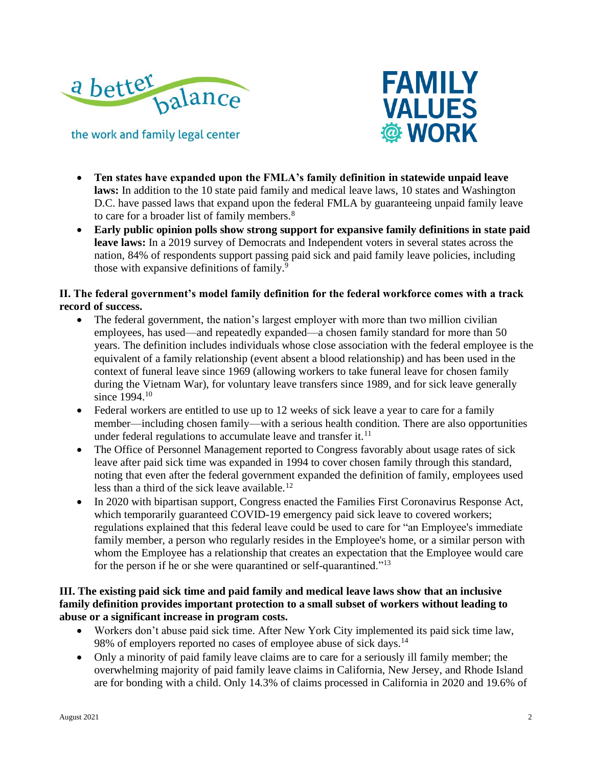



- **Ten states have expanded upon the FMLA's family definition in statewide unpaid leave laws:** In addition to the 10 state paid family and medical leave laws, 10 states and Washington D.C. have passed laws that expand upon the federal FMLA by guaranteeing unpaid family leave to care for a broader list of family members.<sup>8</sup>
- **Early public opinion polls show strong support for expansive family definitions in state paid leave laws:** In a 2019 survey of Democrats and Independent voters in several states across the nation, 84% of respondents support passing paid sick and paid family leave policies, including those with expansive definitions of family.<sup>9</sup>

## **II. The federal government's model family definition for the federal workforce comes with a track record of success.**

- The federal government, the nation's largest employer with more than two million civilian employees, has used—and repeatedly expanded—a chosen family standard for more than 50 years. The definition includes individuals whose close association with the federal employee is the equivalent of a family relationship (event absent a blood relationship) and has been used in the context of funeral leave since 1969 (allowing workers to take funeral leave for chosen family during the Vietnam War), for voluntary leave transfers since 1989, and for sick leave generally since 1994 <sup>10</sup>
- Federal workers are entitled to use up to 12 weeks of sick leave a year to care for a family member—including chosen family—with a serious health condition. There are also opportunities under federal regulations to accumulate leave and transfer it. $^{11}$
- The Office of Personnel Management reported to Congress favorably about usage rates of sick leave after paid sick time was expanded in 1994 to cover chosen family through this standard, noting that even after the federal government expanded the definition of family, employees used less than a third of the sick leave available.<sup>12</sup>
- In 2020 with bipartisan support, Congress enacted the Families First Coronavirus Response Act, which temporarily guaranteed COVID-19 emergency paid sick leave to covered workers; regulations explained that this federal leave could be used to care for "an Employee's immediate family member, a person who regularly resides in the Employee's home, or a similar person with whom the Employee has a relationship that creates an expectation that the Employee would care for the person if he or she were quarantined or self-quarantined."<sup>13</sup>

## **III. The existing paid sick time and paid family and medical leave laws show that an inclusive family definition provides important protection to a small subset of workers without leading to abuse or a significant increase in program costs.**

- Workers don't abuse paid sick time. After New York City implemented its paid sick time law, 98% of employers reported no cases of employee abuse of sick days.<sup>14</sup>
- Only a minority of paid family leave claims are to care for a seriously ill family member; the overwhelming majority of paid family leave claims in California, New Jersey, and Rhode Island are for bonding with a child. Only 14.3% of claims processed in California in 2020 and 19.6% of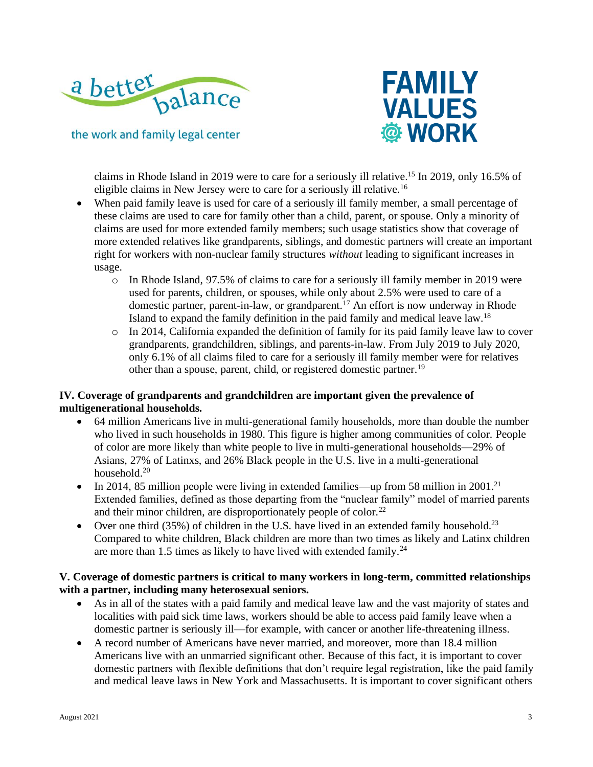



claims in Rhode Island in 2019 were to care for a seriously ill relative. <sup>15</sup> In 2019, only 16.5% of eligible claims in New Jersey were to care for a seriously ill relative.<sup>16</sup>

- When paid family leave is used for care of a seriously ill family member, a small percentage of these claims are used to care for family other than a child, parent, or spouse. Only a minority of claims are used for more extended family members; such usage statistics show that coverage of more extended relatives like grandparents, siblings, and domestic partners will create an important right for workers with non-nuclear family structures *without* leading to significant increases in usage.
	- o In Rhode Island, 97.5% of claims to care for a seriously ill family member in 2019 were used for parents, children, or spouses, while only about 2.5% were used to care of a domestic partner, parent-in-law, or grandparent.<sup>17</sup> An effort is now underway in Rhode Island to expand the family definition in the paid family and medical leave law.<sup>18</sup>
	- o In 2014, California expanded the definition of family for its paid family leave law to cover grandparents, grandchildren, siblings, and parents-in-law. From July 2019 to July 2020, only 6.1% of all claims filed to care for a seriously ill family member were for relatives other than a spouse, parent, child, or registered domestic partner.<sup>19</sup>

## **IV. Coverage of grandparents and grandchildren are important given the prevalence of multigenerational households.**

- 64 million Americans live in multi-generational family households, more than double the number who lived in such households in 1980. This figure is higher among communities of color. People of color are more likely than white people to live in multi-generational households—29% of Asians, 27% of Latinxs, and 26% Black people in the U.S. live in a multi-generational household.<sup>20</sup>
- In 2014, 85 million people were living in extended families—up from 58 million in 2001.<sup>21</sup> Extended families, defined as those departing from the "nuclear family" model of married parents and their minor children, are disproportionately people of color.<sup>22</sup>
- Over one third  $(35\%)$  of children in the U.S. have lived in an extended family household.<sup>23</sup> Compared to white children, Black children are more than two times as likely and Latinx children are more than 1.5 times as likely to have lived with extended family.<sup>24</sup>

#### **V. Coverage of domestic partners is critical to many workers in long-term, committed relationships with a partner, including many heterosexual seniors.**

- As in all of the states with a paid family and medical leave law and the vast majority of states and localities with paid sick time laws, workers should be able to access paid family leave when a domestic partner is seriously ill—for example, with cancer or another life-threatening illness.
- A record number of Americans have never married, and moreover, more than 18.4 million Americans live with an unmarried significant other. Because of this fact, it is important to cover domestic partners with flexible definitions that don't require legal registration, like the paid family and medical leave laws in New York and Massachusetts. It is important to cover significant others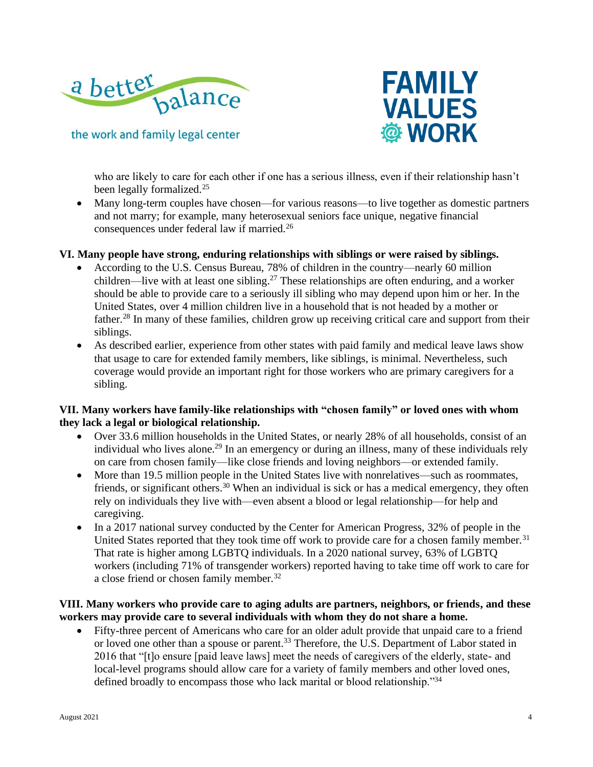



who are likely to care for each other if one has a serious illness, even if their relationship hasn't been legally formalized.<sup>25</sup>

• Many long-term couples have chosen—for various reasons—to live together as domestic partners and not marry; for example, many heterosexual seniors face unique, negative financial consequences under federal law if married.<sup>26</sup>

#### **VI. Many people have strong, enduring relationships with siblings or were raised by siblings.**

- According to the U.S. Census Bureau, 78% of children in the country—nearly 60 million children—live with at least one sibling.<sup>27</sup> These relationships are often enduring, and a worker should be able to provide care to a seriously ill sibling who may depend upon him or her. In the United States, over 4 million children live in a household that is not headed by a mother or father.<sup>28</sup> In many of these families, children grow up receiving critical care and support from their siblings.
- As described earlier, experience from other states with paid family and medical leave laws show that usage to care for extended family members, like siblings, is minimal. Nevertheless, such coverage would provide an important right for those workers who are primary caregivers for a sibling.

### **VII. Many workers have family-like relationships with "chosen family" or loved ones with whom they lack a legal or biological relationship.**

- Over 33.6 million households in the United States, or nearly 28% of all households, consist of an individual who lives alone.<sup>29</sup> In an emergency or during an illness, many of these individuals rely on care from chosen family—like close friends and loving neighbors—or extended family.
- More than 19.5 million people in the United States live with nonrelatives—such as roommates, friends, or significant others.<sup>30</sup> When an individual is sick or has a medical emergency, they often rely on individuals they live with—even absent a blood or legal relationship—for help and caregiving.
- In a 2017 national survey conducted by the Center for American Progress, 32% of people in the United States reported that they took time off work to provide care for a chosen family member.<sup>31</sup> That rate is higher among LGBTQ individuals. In a 2020 national survey, 63% of LGBTQ workers (including 71% of transgender workers) reported having to take time off work to care for a close friend or chosen family member.<sup>32</sup>

#### **VIII. Many workers who provide care to aging adults are partners, neighbors, or friends, and these workers may provide care to several individuals with whom they do not share a home.**

• Fifty-three percent of Americans who care for an older adult provide that unpaid care to a friend or loved one other than a spouse or parent.<sup>33</sup> Therefore, the U.S. Department of Labor stated in 2016 that "[t]o ensure [paid leave laws] meet the needs of caregivers of the elderly, state- and local-level programs should allow care for a variety of family members and other loved ones, defined broadly to encompass those who lack marital or blood relationship."<sup>34</sup>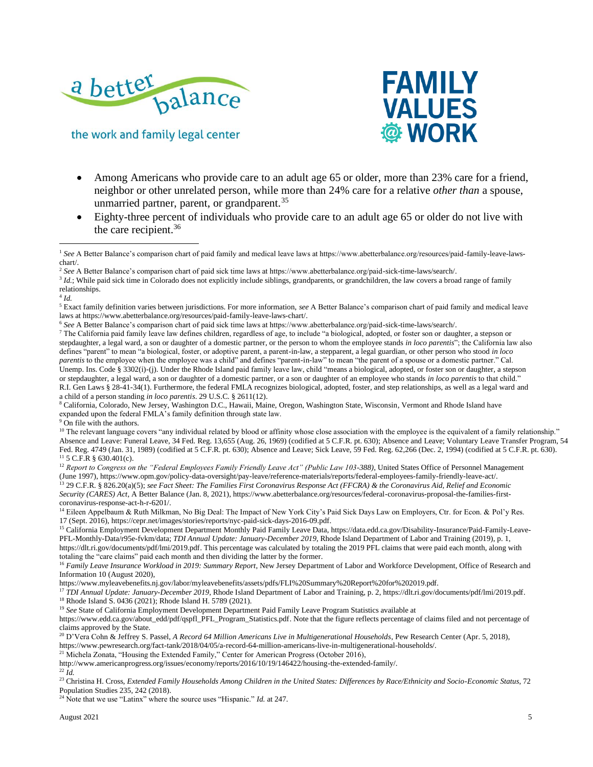



- Among Americans who provide care to an adult age 65 or older, more than 23% care for a friend, neighbor or other unrelated person, while more than 24% care for a relative *other than* a spouse, unmarried partner, parent, or grandparent.<sup>35</sup>
- Eighty-three percent of individuals who provide care to an adult age 65 or older do not live with the care recipient.<sup>36</sup>

4 *Id.*

<sup>7</sup> The California paid family leave law defines children, regardless of age, to include "a biological, adopted, or foster son or daughter, a stepson or stepdaughter, a legal ward, a son or daughter of a domestic partner, or the person to whom the employee stands *in loco parentis*"; the California law also defines "parent" to mean "a biological, foster, or adoptive parent, a parent-in-law, a stepparent, a legal guardian, or other person who stood *in loco parentis* to the employee when the employee was a child" and defines "parent-in-law" to mean "the parent of a spouse or a domestic partner." Cal. Unemp. Ins. Code § 3302(i)-(j). Under the Rhode Island paid family leave law, child "means a biological, adopted, or foster son or daughter, a stepson or stepdaughter, a legal ward, a son or daughter of a domestic partner, or a son or daughter of an employee who stands *in loco parentis* to that child." R.I. Gen Laws § 28-41-34(1). Furthermore, the federal FMLA recognizes biological, adopted, foster, and step relationships, as well as a legal ward and a child of a person standing *in loco parentis*. 29 U.S.C. § 2611(12).

<sup>8</sup> California, Colorado, New Jersey, Washington D.C., Hawaii, Maine, Oregon, Washington State, Wisconsin, Vermont and Rhode Island have expanded upon the federal FMLA's family definition through state law.

<sup>9</sup> On file with the authors.

<sup>10</sup> The relevant language covers "any individual related by blood or affinity whose close association with the employee is the equivalent of a family relationship." Absence and Leave: Funeral Leave, 34 Fed. Reg. 13,655 (Aug. 26, 1969) (codified at 5 C.F.R. pt. 630); Absence and Leave; Voluntary Leave Transfer Program, 54 Fed. Reg. 4749 (Jan. 31, 1989) (codified at 5 C.F.R. pt. 630); Absence and Leave; Sick Leave, 59 Fed. Reg. 62,266 (Dec. 2, 1994) (codified at 5 C.F.R. pt. 630). <sup>11</sup> 5 C.F.R § 630.401(c).

<sup>12</sup> Report to Congress on the "Federal Employees Family Friendly Leave Act" (Public Law 103-388), United States Office of Personnel Management (June 1997), https://www.opm.gov/policy-data-oversight/pay-leave/reference-materials/reports/federal-employees-family-friendly-leave-act/. <sup>13</sup> 29 C.F.R. § 826.20(a)(5); *see Fact Sheet: The Families First Coronavirus Response Act (FFCRA) & the Coronavirus Aid, Relief and Economic Security (CARES) Act*, A Better Balance (Jan. 8, 2021), https://www.abetterbalance.org/resources/federal-coronavirus-proposal-the-families-firstcoronavirus-response-act-h-r-6201/.

<sup>14</sup> Eileen Appelbaum & Ruth Milkman, No Big Deal: The Impact of New York City's Paid Sick Days Law on Employers, Ctr. for Econ. & Pol'y Res. 17 (Sept. 2016), https://cepr.net/images/stories/reports/nyc-paid-sick-days-2016-09.pdf.

<sup>15</sup> California Employment Development Department Monthly Paid Family Leave Data, https://data.edd.ca.gov/Disability-Insurance/Paid-Family-Leave-PFL-Monthly-Data/r95e-fvkm/data; *TDI Annual Update: January-December 2019*, Rhode Island Department of Labor and Training (2019), p. 1,

https://dlt.ri.gov/documents/pdf/lmi/2019.pdf. This percentage was calculated by totaling the 2019 PFL claims that were paid each month, along with totaling the "care claims" paid each month and then dividing the latter by the former.

<sup>16</sup> Family Leave Insurance Workload in 2019: Summary Report, New Jersey Department of Labor and Workforce Development, Office of Research and Information 10 (August 2020),

https://www.myleavebenefits.nj.gov/labor/myleavebenefits/assets/pdfs/FLI%20Summary%20Report%20for%202019.pdf.

<sup>17</sup> *TDI Annual Update: January-December 2019*, Rhode Island Department of Labor and Training, p. 2, https://dlt.ri.gov/documents/pdf/lmi/2019.pdf. <sup>18</sup> Rhode Island S. 0436 (2021); Rhode Island H. 5789 (2021).

<sup>19</sup> See State of California Employment Development Department Paid Family Leave Program Statistics available at

https://www.edd.ca.gov/about\_edd/pdf/qspfl\_PFL\_Program\_Statistics.pdf. Note that the figure reflects percentage of claims filed and not percentage of claims approved by the State.

<sup>20</sup> D'Vera Cohn & Jeffrey S. Passel, *A Record 64 Million Americans Live in Multigenerational Households*, Pew Research Center (Apr. 5, 2018),

https://www.pewresearch.org/fact-tank/2018/04/05/a-record-64-million-americans-live-in-multigenerational-households/.

<sup>21</sup> Michela Zonata, "Housing the Extended Family," Center for American Progress (October 2016),

http://www.americanprogress.org/issues/economy/reports/2016/10/19/146422/housing-the-extended-family/. <sup>22</sup> *Id.*

<sup>23</sup> Christina H. Cross, *Extended Family Households Among Children in the United States: Differences by Race/Ethnicity and Socio-Economic Status*, 72 Population Studies 235, 242 (2018).

<sup>24</sup> Note that we use "Latinx" where the source uses "Hispanic." *Id.* at 247.

<sup>&</sup>lt;sup>1</sup> See A Better Balance's comparison chart of paid family and medical leave laws at https://www.abetterbalance.org/resources/paid-family-leave-lawschart/.

<sup>2</sup> *See* A Better Balance's comparison chart of paid sick time laws at https://www.abetterbalance.org/paid-sick-time-laws/search/.

<sup>&</sup>lt;sup>3</sup> *Id.*; While paid sick time in Colorado does not explicitly include siblings, grandparents, or grandchildren, the law covers a broad range of family relationships.

<sup>5</sup> Exact family definition varies between jurisdictions. For more information, *see* A Better Balance's comparison chart of paid family and medical leave laws at https://www.abetterbalance.org/resources/paid-family-leave-laws-chart/.

<sup>6</sup> *See* A Better Balance's comparison chart of paid sick time laws at https://www.abetterbalance.org/paid-sick-time-laws/search/.